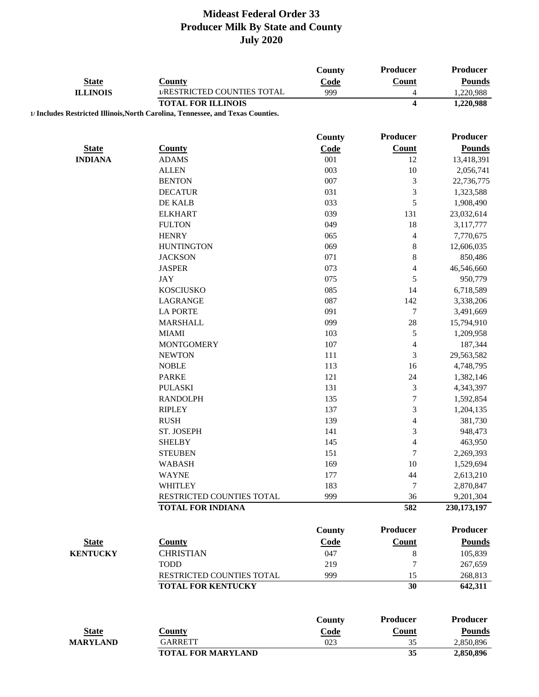|                 |                                                                                 | County        | <b>Producer</b>          | <b>Producer</b> |
|-----------------|---------------------------------------------------------------------------------|---------------|--------------------------|-----------------|
| <b>State</b>    | <b>County</b>                                                                   | Code          | <b>Count</b>             | <b>Pounds</b>   |
| <b>ILLINOIS</b> | 1/RESTRICTED COUNTIES TOTAL                                                     | 999           | 4                        | 1,220,988       |
|                 | <b>TOTAL FOR ILLINOIS</b>                                                       |               | 4                        | 1,220,988       |
|                 | 1/ Includes Restricted Illinois, North Carolina, Tennessee, and Texas Counties. |               |                          |                 |
|                 |                                                                                 |               |                          |                 |
|                 |                                                                                 | County        | Producer                 | <b>Producer</b> |
| <b>State</b>    | <b>County</b>                                                                   | Code          | <b>Count</b>             | <b>Pounds</b>   |
| <b>INDIANA</b>  | <b>ADAMS</b>                                                                    | 001           | 12                       | 13,418,391      |
|                 | <b>ALLEN</b>                                                                    | 003           | 10                       | 2,056,741       |
|                 | <b>BENTON</b>                                                                   | 007           | $\sqrt{3}$               | 22,736,775      |
|                 | <b>DECATUR</b>                                                                  | 031           | $\mathfrak{Z}$           | 1,323,588       |
|                 | DE KALB                                                                         | 033           | 5                        | 1,908,490       |
|                 | <b>ELKHART</b>                                                                  | 039           | 131                      | 23,032,614      |
|                 | <b>FULTON</b>                                                                   | 049           | 18                       | 3,117,777       |
|                 | <b>HENRY</b>                                                                    | 065           | 4                        | 7,770,675       |
|                 | <b>HUNTINGTON</b>                                                               | 069           | $\,$ 8 $\,$              | 12,606,035      |
|                 | <b>JACKSON</b>                                                                  | 071           | $\,$ $\,$                | 850,486         |
|                 | <b>JASPER</b>                                                                   | 073           | $\overline{\mathbf{4}}$  | 46,546,660      |
|                 | <b>JAY</b>                                                                      | 075           | 5                        | 950,779         |
|                 | <b>KOSCIUSKO</b>                                                                | 085           | 14                       | 6,718,589       |
|                 | LAGRANGE                                                                        | 087           | 142                      | 3,338,206       |
|                 | <b>LA PORTE</b>                                                                 | 091           | 7                        | 3,491,669       |
|                 | <b>MARSHALL</b>                                                                 | 099           | $28\,$                   | 15,794,910      |
|                 | <b>MIAMI</b>                                                                    | 103           | 5                        | 1,209,958       |
|                 | <b>MONTGOMERY</b>                                                               | 107           | $\overline{4}$           | 187,344         |
|                 | <b>NEWTON</b>                                                                   | 111           | 3                        | 29,563,582      |
|                 | <b>NOBLE</b>                                                                    | 113           | 16                       | 4,748,795       |
|                 | <b>PARKE</b>                                                                    | 121           | 24                       | 1,382,146       |
|                 | <b>PULASKI</b>                                                                  | 131           | 3                        | 4,343,397       |
|                 | <b>RANDOLPH</b>                                                                 | 135           | $\boldsymbol{7}$         | 1,592,854       |
|                 | <b>RIPLEY</b>                                                                   | 137           | 3                        | 1,204,135       |
|                 | <b>RUSH</b>                                                                     | 139           | $\overline{\mathbf{4}}$  | 381,730         |
|                 | ST. JOSEPH                                                                      | 141           | 3                        | 948,473         |
|                 | <b>SHELBY</b>                                                                   | 145           | $\overline{\mathcal{L}}$ | 463,950         |
|                 | <b>STEUBEN</b>                                                                  | 151           | $\tau$                   | 2,269,393       |
|                 | <b>WABASH</b>                                                                   | 169           | 10                       | 1,529,694       |
|                 | <b>WAYNE</b>                                                                    | 177           | 44                       | 2,613,210       |
|                 | <b>WHITLEY</b>                                                                  | 183           | 7                        | 2,870,847       |
|                 | RESTRICTED COUNTIES TOTAL                                                       | 999           | 36                       | 9,201,304       |
|                 | <b>TOTAL FOR INDIANA</b>                                                        |               | 582                      | 230, 173, 197   |
|                 |                                                                                 |               |                          |                 |
|                 |                                                                                 | <b>County</b> | <b>Producer</b>          | <b>Producer</b> |
| <b>State</b>    | <b>County</b>                                                                   | Code          | <b>Count</b>             | <b>Pounds</b>   |
| <b>KENTUCKY</b> | <b>CHRISTIAN</b>                                                                | 047           | $\,8$                    | 105,839         |
|                 | <b>TODD</b>                                                                     | 219           | $\tau$                   | 267,659         |
|                 | RESTRICTED COUNTIES TOTAL                                                       | 999           | 15                       | 268,813         |
|                 | <b>TOTAL FOR KENTUCKY</b>                                                       |               | 30                       | 642,311         |
|                 |                                                                                 |               |                          |                 |
|                 |                                                                                 | County        | <b>Producer</b>          | <b>Producer</b> |
| <b>State</b>    | <b>County</b>                                                                   | Code          | <b>Count</b>             | <b>Pounds</b>   |
| <b>MARYLAND</b> | <b>GARRETT</b>                                                                  | 023           | 35                       | 2,850,896       |
|                 | <b>TOTAL FOR MARYLAND</b>                                                       |               | 35                       | 2,850,896       |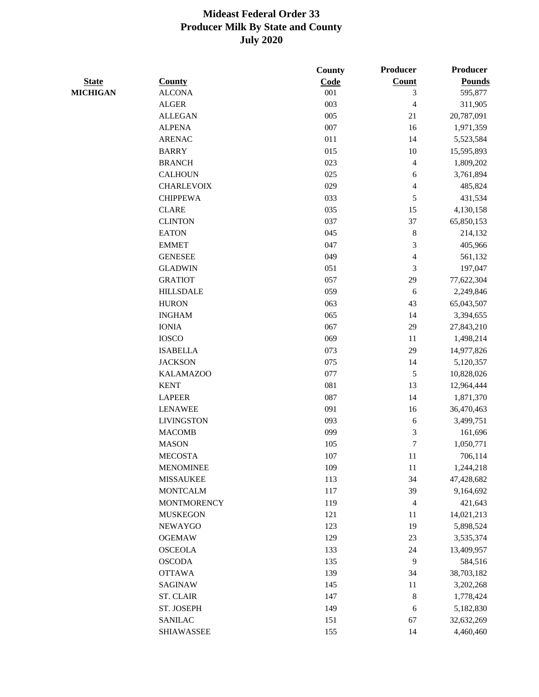|                 |                    | <b>County</b> | Producer                 | Producer      |
|-----------------|--------------------|---------------|--------------------------|---------------|
| <b>State</b>    | <b>County</b>      | Code          | <b>Count</b>             | <b>Pounds</b> |
| <b>MICHIGAN</b> | <b>ALCONA</b>      | 001           | $\mathfrak{Z}$           | 595,877       |
|                 | <b>ALGER</b>       | 003           | $\overline{\mathcal{L}}$ | 311,905       |
|                 | <b>ALLEGAN</b>     | 005           | 21                       | 20,787,091    |
|                 | <b>ALPENA</b>      | 007           | 16                       | 1,971,359     |
|                 | <b>ARENAC</b>      | 011           | 14                       | 5,523,584     |
|                 | <b>BARRY</b>       | 015           | 10                       | 15,595,893    |
|                 | <b>BRANCH</b>      | 023           | 4                        | 1,809,202     |
|                 | <b>CALHOUN</b>     | 025           | 6                        | 3,761,894     |
|                 | <b>CHARLEVOIX</b>  | 029           | 4                        | 485,824       |
|                 | <b>CHIPPEWA</b>    | 033           | 5                        | 431,534       |
|                 | <b>CLARE</b>       | 035           | 15                       | 4,130,158     |
|                 | <b>CLINTON</b>     | 037           | 37                       | 65,850,153    |
|                 | <b>EATON</b>       | 045           | $\,8\,$                  | 214,132       |
|                 | <b>EMMET</b>       | 047           | 3                        | 405,966       |
|                 | <b>GENESEE</b>     | 049           | $\overline{4}$           | 561,132       |
|                 | <b>GLADWIN</b>     | 051           | 3                        | 197,047       |
|                 | <b>GRATIOT</b>     | 057           | 29                       | 77,622,304    |
|                 | <b>HILLSDALE</b>   | 059           | 6                        | 2,249,846     |
|                 | <b>HURON</b>       | 063           | 43                       | 65,043,507    |
|                 | <b>INGHAM</b>      | 065           | 14                       | 3,394,655     |
|                 | <b>IONIA</b>       | 067           | 29                       | 27,843,210    |
|                 | <b>IOSCO</b>       | 069           | 11                       | 1,498,214     |
|                 | <b>ISABELLA</b>    | 073           | 29                       | 14,977,826    |
|                 | <b>JACKSON</b>     | 075           | 14                       | 5,120,357     |
|                 | <b>KALAMAZOO</b>   | 077           | $\sqrt{5}$               | 10,828,026    |
|                 | <b>KENT</b>        | 081           | 13                       | 12,964,444    |
|                 | <b>LAPEER</b>      | 087           | 14                       | 1,871,370     |
|                 | <b>LENAWEE</b>     | 091           | 16                       | 36,470,463    |
|                 | <b>LIVINGSTON</b>  | 093           | 6                        | 3,499,751     |
|                 | <b>MACOMB</b>      | 099           | 3                        | 161,696       |
|                 | <b>MASON</b>       | 105           | $\tau$                   | 1,050,771     |
|                 | <b>MECOSTA</b>     | 107           | 11                       | 706,114       |
|                 | <b>MENOMINEE</b>   | 109           | 11                       | 1,244,218     |
|                 | <b>MISSAUKEE</b>   | 113           | 34                       | 47,428,682    |
|                 | <b>MONTCALM</b>    | 117           | 39                       | 9,164,692     |
|                 | <b>MONTMORENCY</b> | 119           | 4                        | 421,643       |
|                 | <b>MUSKEGON</b>    | 121           | 11                       | 14,021,213    |
|                 | <b>NEWAYGO</b>     | 123           | 19                       | 5,898,524     |
|                 | <b>OGEMAW</b>      | 129           | 23                       | 3,535,374     |
|                 | <b>OSCEOLA</b>     | 133           | 24                       | 13,409,957    |
|                 | <b>OSCODA</b>      | 135           | 9                        | 584,516       |
|                 | <b>OTTAWA</b>      | 139           | 34                       | 38,703,182    |
|                 | <b>SAGINAW</b>     | 145           | 11                       | 3,202,268     |
|                 | <b>ST. CLAIR</b>   | 147           | $\,8\,$                  | 1,778,424     |
|                 | ST. JOSEPH         | 149           | 6                        | 5,182,830     |
|                 | <b>SANILAC</b>     | 151           | 67                       | 32,632,269    |
|                 | <b>SHIAWASSEE</b>  | 155           | 14                       | 4,460,460     |
|                 |                    |               |                          |               |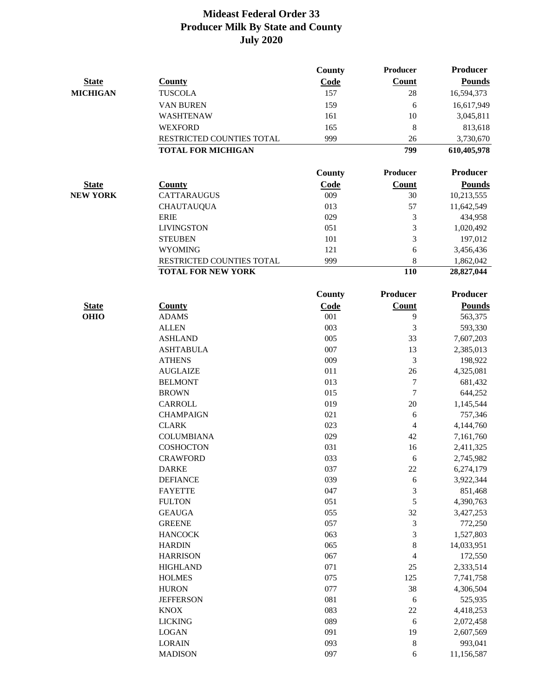|                 |                           | County        | Producer                | <b>Producer</b> |
|-----------------|---------------------------|---------------|-------------------------|-----------------|
| <b>State</b>    | County                    | Code          | Count                   | <b>Pounds</b>   |
| <b>MICHIGAN</b> | <b>TUSCOLA</b>            | 157           | 28                      | 16,594,373      |
|                 | VAN BUREN                 | 159           | 6                       | 16,617,949      |
|                 | WASHTENAW                 | 161           | 10                      | 3,045,811       |
|                 | <b>WEXFORD</b>            | 165           | 8                       | 813,618         |
|                 | RESTRICTED COUNTIES TOTAL | 999           | 26                      | 3,730,670       |
|                 | <b>TOTAL FOR MICHIGAN</b> |               | 799                     | 610,405,978     |
|                 |                           |               |                         |                 |
|                 |                           | <b>County</b> | Producer                | Producer        |
| <b>State</b>    | <b>County</b>             | Code          | <b>Count</b>            | <b>Pounds</b>   |
| <b>NEW YORK</b> | <b>CATTARAUGUS</b>        | 009           | 30                      | 10,213,555      |
|                 | <b>CHAUTAUQUA</b>         | 013           | 57                      | 11,642,549      |
|                 | <b>ERIE</b>               | 029           | 3                       | 434,958         |
|                 | <b>LIVINGSTON</b>         | 051           | 3                       | 1,020,492       |
|                 | <b>STEUBEN</b>            | 101           | 3                       | 197,012         |
|                 | <b>WYOMING</b>            | 121           | 6                       | 3,456,436       |
|                 | RESTRICTED COUNTIES TOTAL | 999           | 8                       | 1,862,042       |
|                 | <b>TOTAL FOR NEW YORK</b> |               | 110                     | 28,827,044      |
|                 |                           | <b>County</b> | <b>Producer</b>         | <b>Producer</b> |
| <b>State</b>    | <b>County</b>             | Code          | <b>Count</b>            | <b>Pounds</b>   |
| <b>OHIO</b>     | <b>ADAMS</b>              | 001           | 9                       | 563,375         |
|                 | <b>ALLEN</b>              | 003           | 3                       | 593,330         |
|                 | <b>ASHLAND</b>            | 005           | 33                      | 7,607,203       |
|                 | <b>ASHTABULA</b>          | 007           | 13                      | 2,385,013       |
|                 | <b>ATHENS</b>             | 009           | 3                       | 198,922         |
|                 | <b>AUGLAIZE</b>           | 011           | 26                      | 4,325,081       |
|                 | <b>BELMONT</b>            | 013           | $\boldsymbol{7}$        | 681,432         |
|                 | <b>BROWN</b>              | 015           | $\tau$                  | 644,252         |
|                 | <b>CARROLL</b>            | 019           | 20                      | 1,145,544       |
|                 | <b>CHAMPAIGN</b>          | 021           | 6                       | 757,346         |
|                 | <b>CLARK</b>              | 023           | $\overline{\mathbf{4}}$ | 4,144,760       |
|                 | <b>COLUMBIANA</b>         | 029           | 42                      | 7,161,760       |
|                 | COSHOCTON                 | 031           | 16                      | 2,411,325       |
|                 | CRAWFORD                  | 033           | 6                       | 2,745,982       |
|                 | <b>DARKE</b>              | 037           | 22                      | 6,274,179       |
|                 | <b>DEFIANCE</b>           | 039           | 6                       | 3,922,344       |
|                 | <b>FAYETTE</b>            | 047           | 3                       | 851,468         |
|                 | <b>FULTON</b>             | 051           | 5                       | 4,390,763       |
|                 | <b>GEAUGA</b>             | 055           | 32                      | 3,427,253       |
|                 | <b>GREENE</b>             | 057           | 3                       | 772,250         |
|                 | <b>HANCOCK</b>            | 063           | 3                       | 1,527,803       |
|                 | <b>HARDIN</b>             | 065           | 8                       | 14,033,951      |
|                 | <b>HARRISON</b>           | 067           | 4                       | 172,550         |
|                 | <b>HIGHLAND</b>           | 071           | $25\,$                  | 2,333,514       |
|                 | <b>HOLMES</b>             | 075           | 125                     | 7,741,758       |
|                 | <b>HURON</b>              | 077           | 38                      | 4,306,504       |
|                 | <b>JEFFERSON</b>          | 081           | 6                       | 525,935         |
|                 | <b>KNOX</b>               | 083           | $22\,$                  | 4,418,253       |
|                 | <b>LICKING</b>            | 089           | 6                       | 2,072,458       |
|                 | <b>LOGAN</b>              | 091           | 19                      | 2,607,569       |
|                 | <b>LORAIN</b>             | 093           | $\,$ 8 $\,$             | 993,041         |
|                 | <b>MADISON</b>            | 097           | 6                       | 11,156,587      |
|                 |                           |               |                         |                 |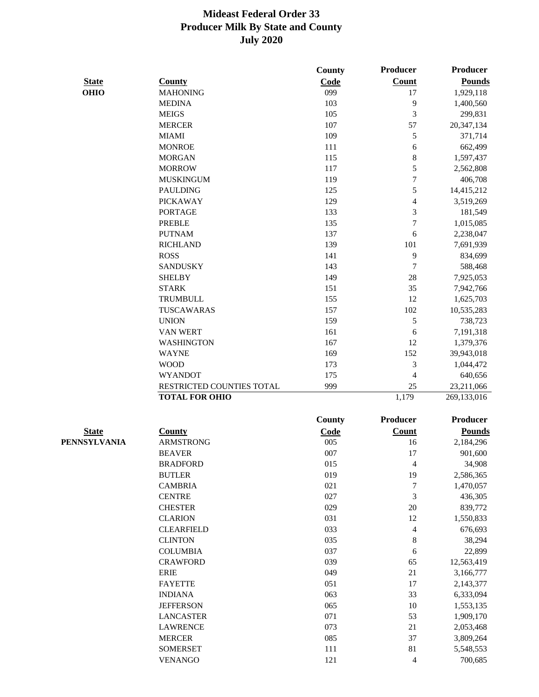|              |                           | County        | <b>Producer</b>          | Producer        |
|--------------|---------------------------|---------------|--------------------------|-----------------|
| <b>State</b> | <b>County</b>             | Code          | <b>Count</b>             | <b>Pounds</b>   |
| <b>OHIO</b>  | <b>MAHONING</b>           | 099           | 17                       | 1,929,118       |
|              | <b>MEDINA</b>             | 103           | 9                        | 1,400,560       |
|              | <b>MEIGS</b>              | 105           | 3                        | 299,831         |
|              | <b>MERCER</b>             | 107           | 57                       | 20,347,134      |
|              | <b>MIAMI</b>              | 109           | 5                        | 371,714         |
|              | <b>MONROE</b>             | 111           | 6                        | 662,499         |
|              | <b>MORGAN</b>             | 115           | 8                        | 1,597,437       |
|              | <b>MORROW</b>             | 117           | 5                        | 2,562,808       |
|              | <b>MUSKINGUM</b>          | 119           | $\boldsymbol{7}$         | 406,708         |
|              | <b>PAULDING</b>           | 125           | 5                        | 14,415,212      |
|              | <b>PICKAWAY</b>           | 129           | $\overline{\mathcal{L}}$ | 3,519,269       |
|              | <b>PORTAGE</b>            | 133           | 3                        | 181,549         |
|              | <b>PREBLE</b>             | 135           | $\boldsymbol{7}$         | 1,015,085       |
|              | <b>PUTNAM</b>             | 137           | 6                        | 2,238,047       |
|              | <b>RICHLAND</b>           | 139           | 101                      | 7,691,939       |
|              | <b>ROSS</b>               | 141           | 9                        | 834,699         |
|              | <b>SANDUSKY</b>           | 143           | $\boldsymbol{7}$         | 588,468         |
|              | <b>SHELBY</b>             | 149           | 28                       | 7,925,053       |
|              | <b>STARK</b>              | 151           | 35                       | 7,942,766       |
|              | <b>TRUMBULL</b>           | 155           | 12                       | 1,625,703       |
|              | TUSCAWARAS                | 157           | 102                      | 10,535,283      |
|              | <b>UNION</b>              | 159           | 5                        | 738,723         |
|              | <b>VAN WERT</b>           | 161           | 6                        | 7,191,318       |
|              | <b>WASHINGTON</b>         | 167           | 12                       | 1,379,376       |
|              | <b>WAYNE</b>              | 169           | 152                      | 39,943,018      |
|              | <b>WOOD</b>               | 173           | 3                        | 1,044,472       |
|              | <b>WYANDOT</b>            | 175           | 4                        | 640,656         |
|              | RESTRICTED COUNTIES TOTAL | 999           | 25                       | 23,211,066      |
|              | <b>TOTAL FOR OHIO</b>     |               | 1,179                    | 269,133,016     |
|              |                           |               |                          |                 |
|              |                           | <b>County</b> | <b>Producer</b>          | <b>Producer</b> |
| <b>State</b> | <b>County</b>             | Code          | <b>Count</b>             | <b>Pounds</b>   |
| PENNSYLVANIA | <b>ARMSTRONG</b>          | 005           | 16                       | 2,184,296       |
|              | <b>BEAVER</b>             | 007           | 17                       | 901,600         |
|              | <b>BRADFORD</b>           | 015           | 4                        | 34,908          |
|              | <b>BUTLER</b>             | 019           | 19                       | 2,586,365       |
|              | <b>CAMBRIA</b>            | 021           | 7                        | 1,470,057       |
|              | <b>CENTRE</b>             | 027           | $\mathfrak 3$            | 436,305         |
|              | <b>CHESTER</b>            | 029           | $20\,$                   | 839,772         |
|              | <b>CLARION</b>            | 031           | 12                       | 1,550,833       |
|              | <b>CLEARFIELD</b>         | 033           | $\overline{4}$           | 676,693         |
|              | <b>CLINTON</b>            | 035           | $\,8\,$                  | 38,294          |
|              | <b>COLUMBIA</b>           | 037           | 6                        | 22,899          |
|              | <b>CRAWFORD</b>           | 039           | 65                       | 12,563,419      |
|              | <b>ERIE</b>               | 049           | 21                       | 3,166,777       |
|              | <b>FAYETTE</b>            | 051           | 17                       | 2,143,377       |
|              | <b>INDIANA</b>            | 063           | 33                       | 6,333,094       |
|              | <b>JEFFERSON</b>          | 065           | 10                       | 1,553,135       |
|              | <b>LANCASTER</b>          | 071           | 53                       | 1,909,170       |
|              | <b>LAWRENCE</b>           | 073           | 21                       | 2,053,468       |
|              | <b>MERCER</b>             | 085           | 37                       | 3,809,264       |
|              | <b>SOMERSET</b>           | 111           | 81                       | 5,548,553       |
|              | <b>VENANGO</b>            | 121           | $\overline{4}$           | 700,685         |
|              |                           |               |                          |                 |